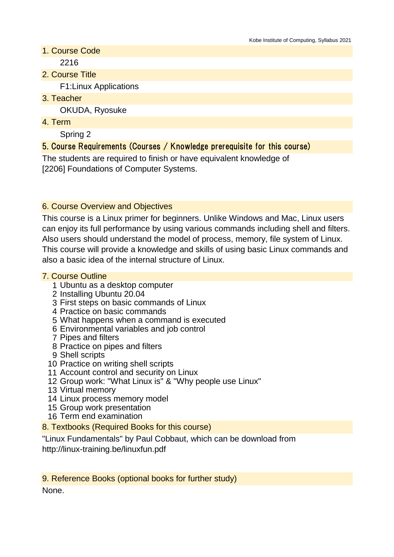- 1. Course Code 2216
- 2. Course Title

F1:Linux Applications

3. Teacher

OKUDA, Ryosuke

4. Term

Spring 2

# 5. Course Requirements (Courses / Knowledge prerequisite for this course)

The students are required to finish or have equivalent knowledge of [2206] Foundations of Computer Systems.

# 6. Course Overview and Objectives

This course is a Linux primer for beginners. Unlike Windows and Mac, Linux users can enjoy its full performance by using various commands including shell and filters. Also users should understand the model of process, memory, file system of Linux. This course will provide a knowledge and skills of using basic Linux commands and also a basic idea of the internal structure of Linux.

### 7. Course Outline

- 1 Ubuntu as a desktop computer
- 2 Installing Ubuntu 20.04
- 3 First steps on basic commands of Linux
- 4 Practice on basic commands
- 5 What happens when a command is executed
- 6 Environmental variables and job control
- 7 Pipes and filters
- 8 Practice on pipes and filters
- 9 Shell scripts
- 10 Practice on writing shell scripts
- 11 Account control and security on Linux
- 12 Group work: "What Linux is" & "Why people use Linux"
- 13 Virtual memory
- 14 Linux process memory model
- 15 Group work presentation
- 16 Term end examination
- 8. Textbooks (Required Books for this course)

"Linux Fundamentals" by Paul Cobbaut, which can be download from http://linux-training.be/linuxfun.pdf

9. Reference Books (optional books for further study) None.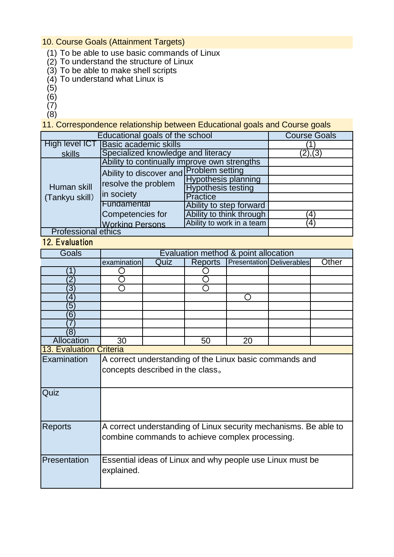10. Course Goals (Attainment Targets)

- (1) To be able to use basic commands of Linux
- (2) To understand the structure of Linux
- (3) To be able to make shell scripts
- (4) To understand what Linux is
- (5)
- (6)
- $(7)$
- (8)

11. Correspondence relationship between Educational goals and Course goals

| Educational goals of the school | <b>Course Goals</b>                                                          |                            |                       |
|---------------------------------|------------------------------------------------------------------------------|----------------------------|-----------------------|
| High level ICT                  | <b>Basic academic skills</b>                                                 |                            |                       |
| skills                          | Specialized knowledge and literacy                                           | (2), (3)                   |                       |
| Human skill<br>(Tankyu skill)   | Ability to continually improve own strengths                                 |                            |                       |
|                                 | Ability to discover and Problem setting<br>resolve the problem<br>in society |                            |                       |
|                                 |                                                                              | <b>Hypothesis planning</b> |                       |
|                                 |                                                                              | <b>Hypothesis testing</b>  |                       |
|                                 |                                                                              | <b>Practice</b>            |                       |
|                                 | Fundamental                                                                  | Ability to step forward    |                       |
|                                 | Competencies for                                                             | Ability to think through   | $^{\prime}4^{\prime}$ |
|                                 | <b>Working Persons</b>                                                       | Ability to work in a team  | $^{\prime}$ 4)        |
| <b>Professional ethics</b>      |                                                                              |                            |                       |

#### 12. Evaluation

| <b>Goals</b>                   | Evaluation method & point allocation                             |      |                |                 |                           |       |
|--------------------------------|------------------------------------------------------------------|------|----------------|-----------------|---------------------------|-------|
|                                | examination                                                      | Quiz | <b>Reports</b> |                 | Presentation Deliverables | Other |
|                                |                                                                  |      |                |                 |                           |       |
| $\mathbf 2$                    |                                                                  |      |                |                 |                           |       |
| $\overline{3}$                 |                                                                  |      |                |                 |                           |       |
| $\overline{4}$                 |                                                                  |      |                | $\Box$          |                           |       |
| 5                              |                                                                  |      |                |                 |                           |       |
| $6^{\circ}$                    |                                                                  |      |                |                 |                           |       |
|                                |                                                                  |      |                |                 |                           |       |
| (8)                            |                                                                  |      |                |                 |                           |       |
| <b>Allocation</b>              | $\overline{30}$                                                  |      | 50             | $\overline{20}$ |                           |       |
| <b>13. Evaluation Criteria</b> |                                                                  |      |                |                 |                           |       |
| Examination                    | A correct understanding of the Linux basic commands and          |      |                |                 |                           |       |
|                                | concepts described in the class.                                 |      |                |                 |                           |       |
|                                |                                                                  |      |                |                 |                           |       |
| Quiz                           |                                                                  |      |                |                 |                           |       |
|                                |                                                                  |      |                |                 |                           |       |
|                                |                                                                  |      |                |                 |                           |       |
| <b>Reports</b>                 | A correct understanding of Linux security mechanisms. Be able to |      |                |                 |                           |       |
|                                | combine commands to achieve complex processing.                  |      |                |                 |                           |       |
|                                |                                                                  |      |                |                 |                           |       |
|                                |                                                                  |      |                |                 |                           |       |
| Presentation                   | Essential ideas of Linux and why people use Linux must be        |      |                |                 |                           |       |
|                                | explained.                                                       |      |                |                 |                           |       |
|                                |                                                                  |      |                |                 |                           |       |
|                                |                                                                  |      |                |                 |                           |       |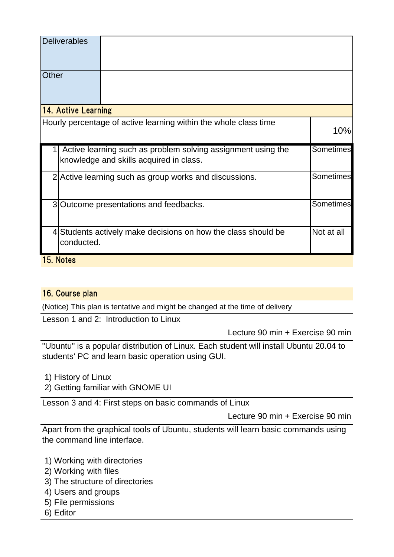|                     | <b>Deliverables</b>                                                 |                                                                                                         |                  |  |
|---------------------|---------------------------------------------------------------------|---------------------------------------------------------------------------------------------------------|------------------|--|
| Other               |                                                                     |                                                                                                         |                  |  |
| 14. Active Learning |                                                                     |                                                                                                         |                  |  |
|                     |                                                                     | Hourly percentage of active learning within the whole class time                                        | 10%              |  |
|                     |                                                                     | Active learning such as problem solving assignment using the<br>knowledge and skills acquired in class. | <b>Sometimes</b> |  |
|                     | Sometimes<br>2 Active learning such as group works and discussions. |                                                                                                         |                  |  |
|                     | 3 Outcome presentations and feedbacks.                              |                                                                                                         | Sometimes        |  |
|                     | conducted.                                                          | 4 Students actively make decisions on how the class should be                                           | Not at all       |  |
| 15. Notes           |                                                                     |                                                                                                         |                  |  |

# 16. Course plan

(Notice) This plan is tentative and might be changed at the time of delivery

Lesson 1 and 2: Introduction to Linux

Lecture 90 min + Exercise 90 min

"Ubuntu" is a popular distribution of Linux. Each student will install Ubuntu 20.04 to students' PC and learn basic operation using GUI.

1) History of Linux

2) Getting familiar with GNOME UI

Lesson 3 and 4: First steps on basic commands of Linux

Lecture 90 min + Exercise 90 min

Apart from the graphical tools of Ubuntu, students will learn basic commands using the command line interface.

- 1) Working with directories
- 2) Working with files
- 3) The structure of directories
- 4) Users and groups
- 5) File permissions
- 6) Editor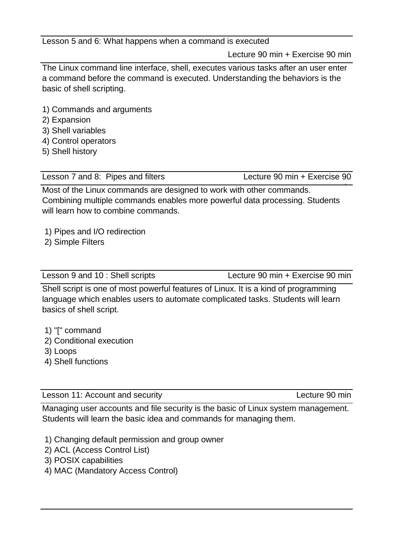Lesson 5 and 6: What happens when a command is executed

Lecture 90 min + Exercise 90 min

The Linux command line interface, shell, executes various tasks after an user enter a command before the command is executed. Understanding the behaviors is the basic of shell scripting.

- 1) Commands and arguments
- 2) Expansion
- 3) Shell variables
- 4) Control operators
- 5) Shell history

Lesson 7 and 8: Pipes and filters Lecture 90 min + Exercise 90

min Most of the Linux commands are designed to work with other commands. Combining multiple commands enables more powerful data processing. Students will learn how to combine commands.

- 1) Pipes and I/O redirection
- 2) Simple Filters

| Lesson 9 and 10 : Shell scripts | Lecture 90 min + Exercise 90 min |
|---------------------------------|----------------------------------|
|---------------------------------|----------------------------------|

Shell script is one of most powerful features of Linux. It is a kind of programming language which enables users to automate complicated tasks. Students will learn basics of shell script.

- 1) "[" command
- 2) Conditional execution
- 3) Loops
- 4) Shell functions

Lesson 11: Account and security **Lecture 12: Account and security Lecture 90 min** 

Managing user accounts and file security is the basic of Linux system management. Students will learn the basic idea and commands for managing them.

1) Changing default permission and group owner

- 2) ACL (Access Control List)
- 3) POSIX capabilities
- 4) MAC (Mandatory Access Control)